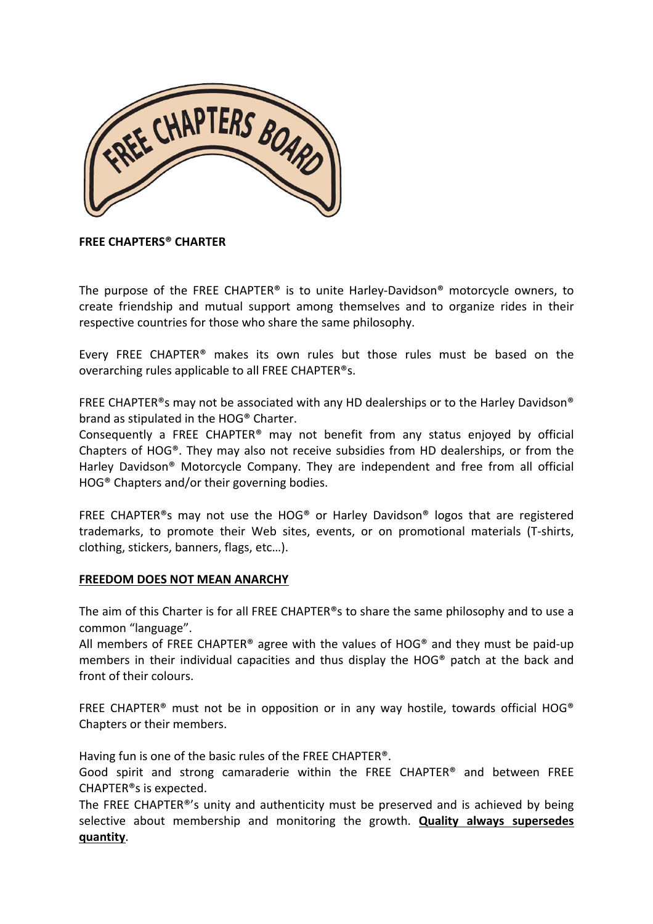

### **FREE CHAPTERS® CHARTER**

The purpose of the FREE CHAPTER® is to unite Harley-Davidson® motorcycle owners, to create friendship and mutual support among themselves and to organize rides in their respective countries for those who share the same philosophy.

Every FREE CHAPTER<sup>®</sup> makes its own rules but those rules must be based on the overarching rules applicable to all FREE CHAPTER<sup>®</sup>s.

FREE CHAPTER®s may not be associated with any HD dealerships or to the Harley Davidson® brand as stipulated in the HOG® Charter.

Consequently a FREE CHAPTER<sup>®</sup> may not benefit from any status enjoyed by official Chapters of HOG®. They may also not receive subsidies from HD dealerships, or from the Harley Davidson<sup>®</sup> Motorcycle Company. They are independent and free from all official  $HOG<sup>®</sup>$  Chapters and/or their governing bodies.

FREE CHAPTER<sup>®</sup>s may not use the HOG<sup>®</sup> or Harley Davidson<sup>®</sup> logos that are registered trademarks, to promote their Web sites, events, or on promotional materials (T-shirts, clothing, stickers, banners, flags, etc...).

#### **FREEDOM DOES NOT MEAN ANARCHY**

The aim of this Charter is for all FREE CHAPTER®s to share the same philosophy and to use a common "language".

All members of FREE CHAPTER<sup>®</sup> agree with the values of HOG<sup>®</sup> and they must be paid-up members in their individual capacities and thus display the HOG® patch at the back and front of their colours.

FREE CHAPTER<sup>®</sup> must not be in opposition or in any way hostile, towards official HOG<sup>®</sup> Chapters or their members.

Having fun is one of the basic rules of the FREE CHAPTER<sup>®</sup>.

Good spirit and strong camaraderie within the FREE CHAPTER® and between FREE CHAPTER®s is expected.

The FREE CHAPTER<sup>®</sup>'s unity and authenticity must be preserved and is achieved by being selective about membership and monitoring the growth. **Quality always supersedes quantity**.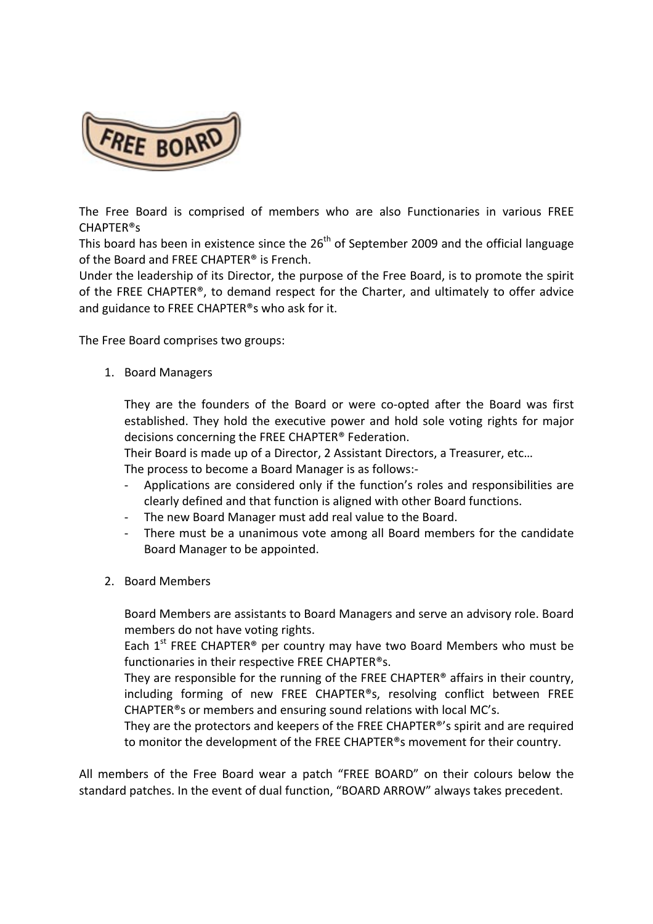

The Free Board is comprised of members who are also Functionaries in various FREE CHAPTER®s

This board has been in existence since the  $26<sup>th</sup>$  of September 2009 and the official language of the Board and FREE CHAPTER<sup>®</sup> is French.

Under the leadership of its Director, the purpose of the Free Board, is to promote the spirit of the FREE CHAPTER<sup>®</sup>, to demand respect for the Charter, and ultimately to offer advice and guidance to FREE CHAPTER<sup>®</sup>s who ask for it.

The Free Board comprises two groups:

1. Board Managers

They are the founders of the Board or were co-opted after the Board was first established. They hold the executive power and hold sole voting rights for major decisions concerning the FREE CHAPTER<sup>®</sup> Federation.

Their Board is made up of a Director, 2 Assistant Directors, a Treasurer, etc...

The process to become a Board Manager is as follows:-

- Applications are considered only if the function's roles and responsibilities are clearly defined and that function is aligned with other Board functions.
- The new Board Manager must add real value to the Board.
- There must be a unanimous vote among all Board members for the candidate Board Manager to be appointed.
- 2. Board Members

Board Members are assistants to Board Managers and serve an advisory role. Board members do not have voting rights.

Each  $1<sup>st</sup>$  FREE CHAPTER<sup>®</sup> per country may have two Board Members who must be functionaries in their respective FREE CHAPTER®s.

They are responsible for the running of the FREE CHAPTER® affairs in their country, including forming of new FREE CHAPTER®s, resolving conflict between FREE CHAPTER<sup>®</sup>s or members and ensuring sound relations with local MC's.

They are the protectors and keepers of the FREE CHAPTER®'s spirit and are required to monitor the development of the FREE CHAPTER®s movement for their country.

All members of the Free Board wear a patch "FREE BOARD" on their colours below the standard patches. In the event of dual function, "BOARD ARROW" always takes precedent.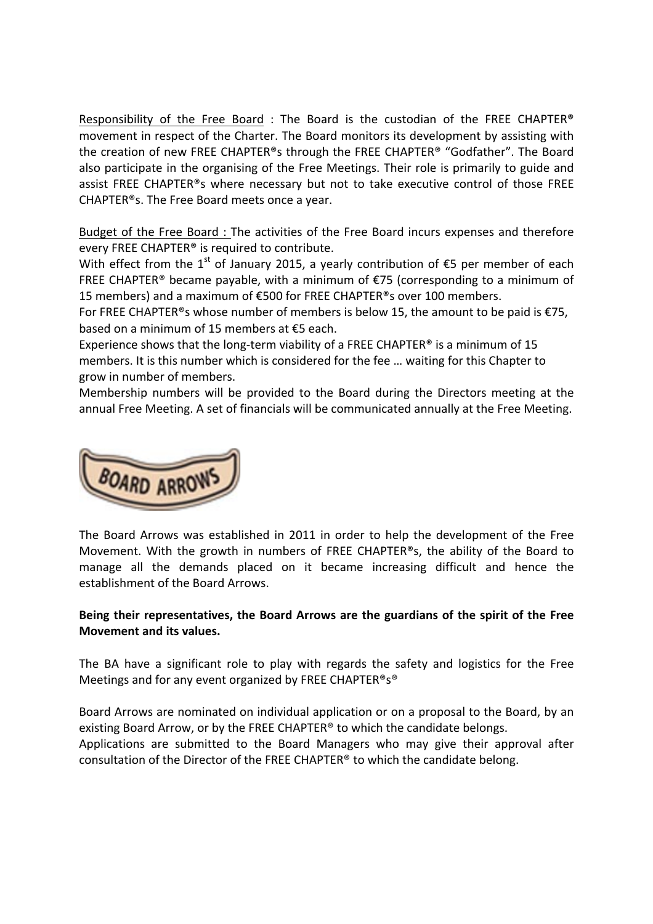Responsibility of the Free Board : The Board is the custodian of the FREE CHAPTER® movement in respect of the Charter. The Board monitors its development by assisting with the creation of new FREE CHAPTER®s through the FREE CHAPTER® "Godfather". The Board also participate in the organising of the Free Meetings. Their role is primarily to guide and assist FREE CHAPTER®s where necessary but not to take executive control of those FREE CHAPTER®s. The Free Board meets once a year.

Budget of the Free Board : The activities of the Free Board incurs expenses and therefore every FREE CHAPTER<sup>®</sup> is required to contribute.

With effect from the 1<sup>st</sup> of January 2015, a yearly contribution of  $\epsilon$ 5 per member of each FREE CHAPTER® became payable, with a minimum of  $E$ 75 (corresponding to a minimum of 15 members) and a maximum of €500 for FREE CHAPTER®s over 100 members.

For FREE CHAPTER<sup>®</sup>s whose number of members is below 15, the amount to be paid is  $E$ 75, based on a minimum of 15 members at  $£5$  each.

Experience shows that the long-term viability of a FREE CHAPTER® is a minimum of 15 members. It is this number which is considered for the fee ... waiting for this Chapter to grow in number of members.

Membership numbers will be provided to the Board during the Directors meeting at the annual Free Meeting. A set of financials will be communicated annually at the Free Meeting.



The Board Arrows was established in 2011 in order to help the development of the Free Movement. With the growth in numbers of FREE CHAPTER®s, the ability of the Board to manage all the demands placed on it became increasing difficult and hence the establishment of the Board Arrows.

### Being their representatives, the Board Arrows are the guardians of the spirit of the Free **Movement and its values.**

The BA have a significant role to play with regards the safety and logistics for the Free Meetings and for any event organized by FREE CHAPTER<sup>®</sup>s<sup>®</sup>

Board Arrows are nominated on individual application or on a proposal to the Board, by an existing Board Arrow, or by the FREE CHAPTER<sup>®</sup> to which the candidate belongs. Applications are submitted to the Board Managers who may give their approval after consultation of the Director of the FREE CHAPTER® to which the candidate belong.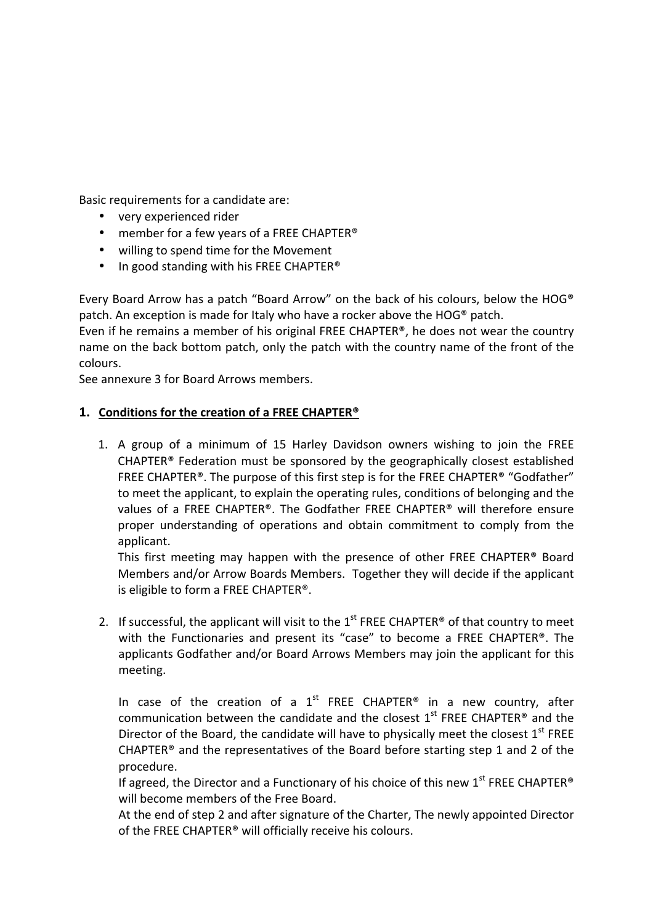Basic requirements for a candidate are:

- very experienced rider
- member for a few years of a FREE CHAPTER<sup>®</sup>
- willing to spend time for the Movement
- In good standing with his FREE CHAPTER<sup>®</sup>

Every Board Arrow has a patch "Board Arrow" on the back of his colours, below the HOG® patch. An exception is made for Italy who have a rocker above the HOG<sup>®</sup> patch.

Even if he remains a member of his original FREE CHAPTER®, he does not wear the country name on the back bottom patch, only the patch with the country name of the front of the colours.

See annexure 3 for Board Arrows members.

## 1. Conditions for the creation of a FREE CHAPTER<sup>®</sup>

1. A group of a minimum of 15 Harley Davidson owners wishing to join the FREE CHAPTER<sup>®</sup> Federation must be sponsored by the geographically closest established FREE CHAPTER<sup>®</sup>. The purpose of this first step is for the FREE CHAPTER<sup>®</sup> "Godfather" to meet the applicant, to explain the operating rules, conditions of belonging and the values of a FREE CHAPTER®. The Godfather FREE CHAPTER® will therefore ensure proper understanding of operations and obtain commitment to comply from the applicant.

This first meeting may happen with the presence of other FREE CHAPTER<sup>®</sup> Board Members and/or Arrow Boards Members. Together they will decide if the applicant is eligible to form a FREE CHAPTER<sup>®</sup>.

2. If successful, the applicant will visit to the  $1^{st}$  FREE CHAPTER<sup>®</sup> of that country to meet with the Functionaries and present its "case" to become a FREE CHAPTER®. The applicants Godfather and/or Board Arrows Members may join the applicant for this meeting.

In case of the creation of a  $1<sup>st</sup>$  FREE CHAPTER<sup>®</sup> in a new country, after communication between the candidate and the closest  $1<sup>st</sup>$  FREE CHAPTER® and the Director of the Board, the candidate will have to physically meet the closest  $1<sup>st</sup>$  FREE CHAPTER<sup>®</sup> and the representatives of the Board before starting step 1 and 2 of the procedure.

If agreed, the Director and a Functionary of his choice of this new  $1^{st}$  FREE CHAPTER® will become members of the Free Board.

At the end of step 2 and after signature of the Charter, The newly appointed Director of the FREE CHAPTER® will officially receive his colours.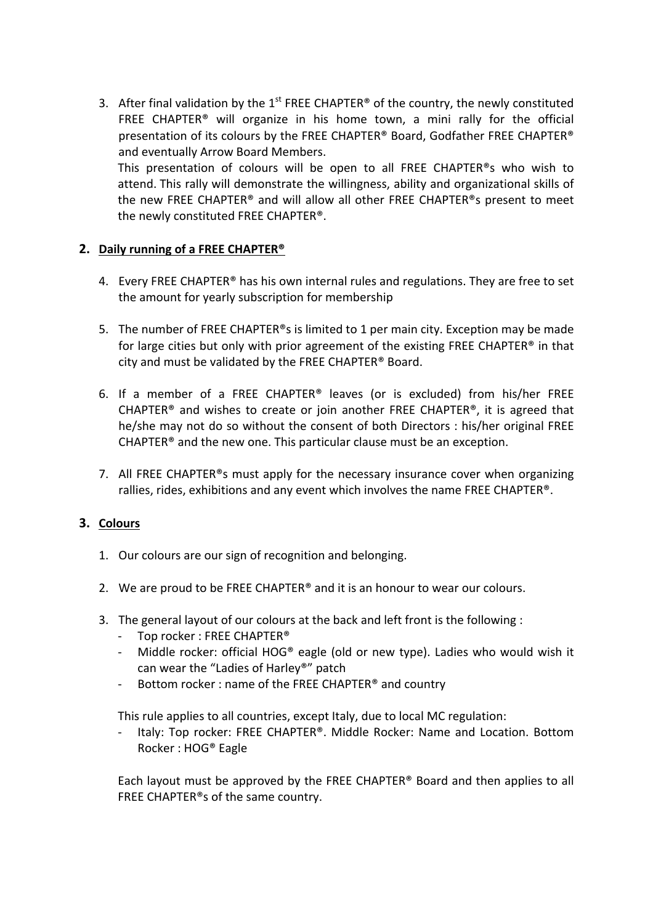3. After final validation by the  $1^{st}$  FREE CHAPTER<sup>®</sup> of the country, the newly constituted FREE CHAPTER<sup>®</sup> will organize in his home town, a mini rally for the official presentation of its colours by the FREE CHAPTER® Board, Godfather FREE CHAPTER® and eventually Arrow Board Members. This presentation of colours will be open to all FREE CHAPTER<sup>®</sup>s who wish to attend. This rally will demonstrate the willingness, ability and organizational skills of

the new FREE CHAPTER® and will allow all other FREE CHAPTER®s present to meet the newly constituted FREE CHAPTER®.

# **2.** Daily running of a FREE CHAPTER<sup>®</sup>

- 4. Every FREE CHAPTER<sup>®</sup> has his own internal rules and regulations. They are free to set the amount for yearly subscription for membership
- 5. The number of FREE CHAPTER®s is limited to 1 per main city. Exception may be made for large cities but only with prior agreement of the existing FREE CHAPTER<sup>®</sup> in that city and must be validated by the FREE CHAPTER® Board.
- 6. If a member of a FREE CHAPTER<sup>®</sup> leaves (or is excluded) from his/her FREE CHAPTER<sup>®</sup> and wishes to create or join another FREE CHAPTER<sup>®</sup>, it is agreed that he/she may not do so without the consent of both Directors : his/her original FREE CHAPTER<sup>®</sup> and the new one. This particular clause must be an exception.
- 7. All FREE CHAPTER<sup>®</sup>s must apply for the necessary insurance cover when organizing rallies, rides, exhibitions and any event which involves the name FREE CHAPTER®.

## **3. Colours**

- 1. Our colours are our sign of recognition and belonging.
- 2. We are proud to be FREE CHAPTER<sup>®</sup> and it is an honour to wear our colours.
- 3. The general layout of our colours at the back and left front is the following :
	- Top rocker : FREE CHAPTER<sup>®</sup>
	- Middle rocker: official HOG® eagle (old or new type). Ladies who would wish it can wear the "Ladies of Harley®" patch
	- Bottom rocker : name of the FREE CHAPTER<sup>®</sup> and country

This rule applies to all countries, except Italy, due to local MC regulation:

Italy: Top rocker: FREE CHAPTER®. Middle Rocker: Name and Location. Bottom Rocker: HOG<sup>®</sup> Eagle

Each layout must be approved by the FREE CHAPTER<sup>®</sup> Board and then applies to all FREE CHAPTER®s of the same country.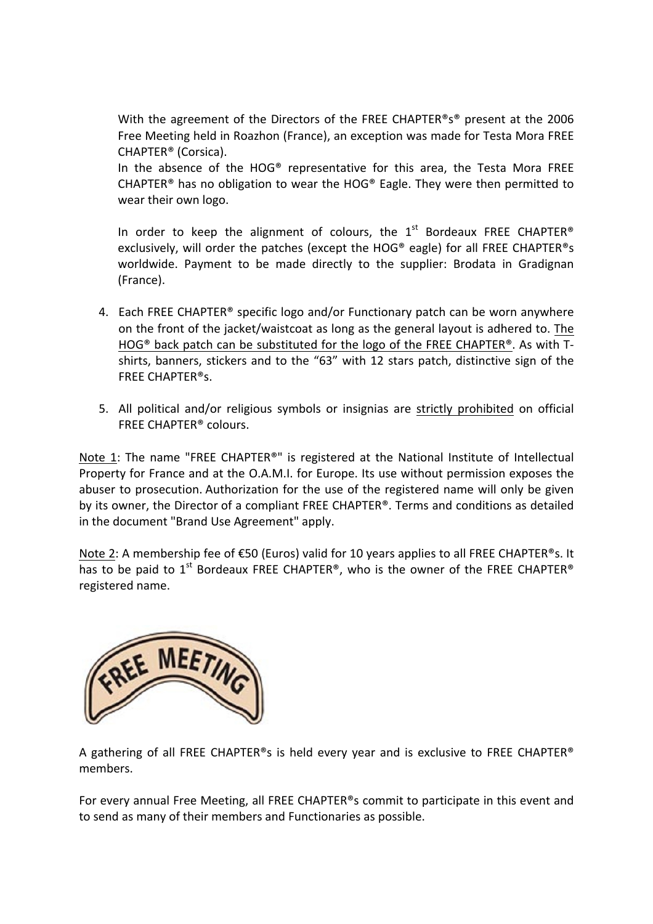With the agreement of the Directors of the FREE CHAPTER®s® present at the 2006 Free Meeting held in Roazhon (France), an exception was made for Testa Mora FREE CHAPTER® (Corsica). 

In the absence of the  $HOG^{\circledast}$  representative for this area, the Testa Mora FREE CHAPTER<sup>®</sup> has no obligation to wear the HOG<sup>®</sup> Eagle. They were then permitted to wear their own logo.

In order to keep the alignment of colours, the  $1<sup>st</sup>$  Bordeaux FREE CHAPTER® exclusively, will order the patches (except the HOG® eagle) for all FREE CHAPTER®s worldwide. Payment to be made directly to the supplier: Brodata in Gradignan (France).

- 4. Each FREE CHAPTER<sup>®</sup> specific logo and/or Functionary patch can be worn anywhere on the front of the jacket/waistcoat as long as the general layout is adhered to. The HOG<sup>®</sup> back patch can be substituted for the logo of the FREE CHAPTER<sup>®</sup>. As with Tshirts, banners, stickers and to the "63" with 12 stars patch, distinctive sign of the FREE CHAPTER®s.
- 5. All political and/or religious symbols or insignias are strictly prohibited on official FREE CHAPTER<sup>®</sup> colours.

Note 1: The name "FREE CHAPTER®" is registered at the National Institute of Intellectual Property for France and at the O.A.M.I. for Europe. Its use without permission exposes the abuser to prosecution. Authorization for the use of the registered name will only be given by its owner, the Director of a compliant FREE CHAPTER®. Terms and conditions as detailed in the document "Brand Use Agreement" apply.

Note 2: A membership fee of €50 (Euros) valid for 10 years applies to all FREE CHAPTER<sup>®</sup>s. It has to be paid to  $1^{st}$  Bordeaux FREE CHAPTER®, who is the owner of the FREE CHAPTER® registered name.



A gathering of all FREE CHAPTER®s is held every year and is exclusive to FREE CHAPTER® members.

For every annual Free Meeting, all FREE CHAPTER®s commit to participate in this event and to send as many of their members and Functionaries as possible.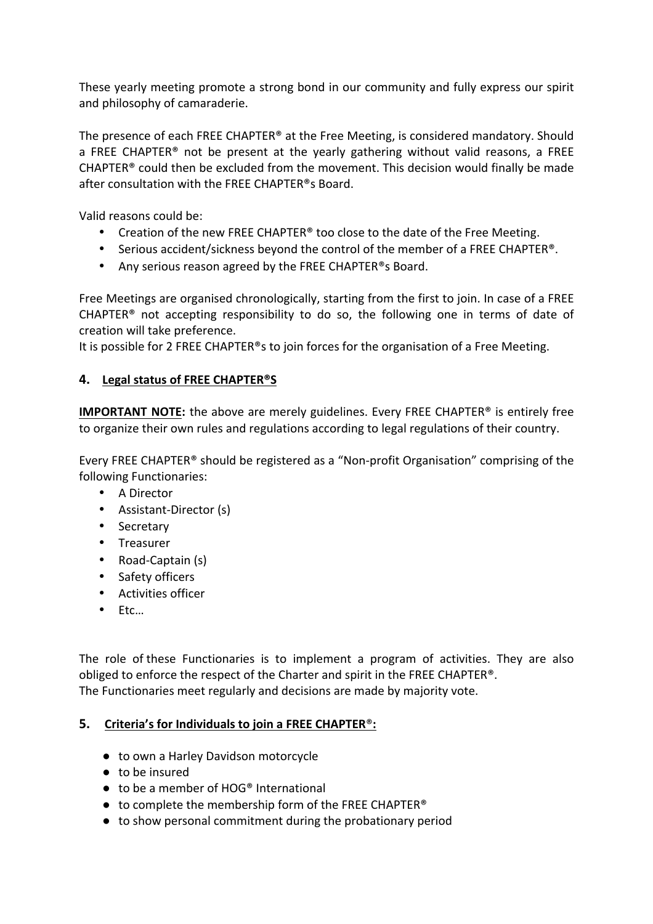These yearly meeting promote a strong bond in our community and fully express our spirit and philosophy of camaraderie.

The presence of each FREE CHAPTER® at the Free Meeting, is considered mandatory. Should a FREE CHAPTER<sup>®</sup> not be present at the yearly gathering without valid reasons, a FREE  $CHAPTER<sup>®</sup>$  could then be excluded from the movement. This decision would finally be made after consultation with the FREE CHAPTER<sup>®</sup>s Board.

Valid reasons could be:

- Creation of the new FREE CHAPTER<sup>®</sup> too close to the date of the Free Meeting.
- Serious accident/sickness beyond the control of the member of a FREE CHAPTER<sup>®</sup>.
- Any serious reason agreed by the FREE CHAPTER®s Board.

Free Meetings are organised chronologically, starting from the first to join. In case of a FREE CHAPTER® not accepting responsibility to do so, the following one in terms of date of creation will take preference.

It is possible for 2 FREE CHAPTER<sup>®</sup>s to join forces for the organisation of a Free Meeting.

## **4. Legal status of FREE CHAPTER®S**

**IMPORTANT NOTE:** the above are merely guidelines. Every FREE CHAPTER<sup>®</sup> is entirely free to organize their own rules and regulations according to legal regulations of their country.

Every FREE CHAPTER® should be registered as a "Non-profit Organisation" comprising of the following Functionaries:

- A Director
- Assistant-Director (s)
- Secretary
- Treasurer
- Road-Captain (s)
- Safety officers
- Activities officer
- Etc…

The role of these Functionaries is to implement a program of activities. They are also obliged to enforce the respect of the Charter and spirit in the FREE CHAPTER®. The Functionaries meet regularly and decisions are made by majority vote.

## **5.** Criteria's for Individuals to join a FREE CHAPTER<sup>®</sup>:

- to own a Harley Davidson motorcycle
- $\bullet$  to be insured
- $\bullet$  to be a member of HOG® International
- $\bullet$  to complete the membership form of the FREE CHAPTER®
- to show personal commitment during the probationary period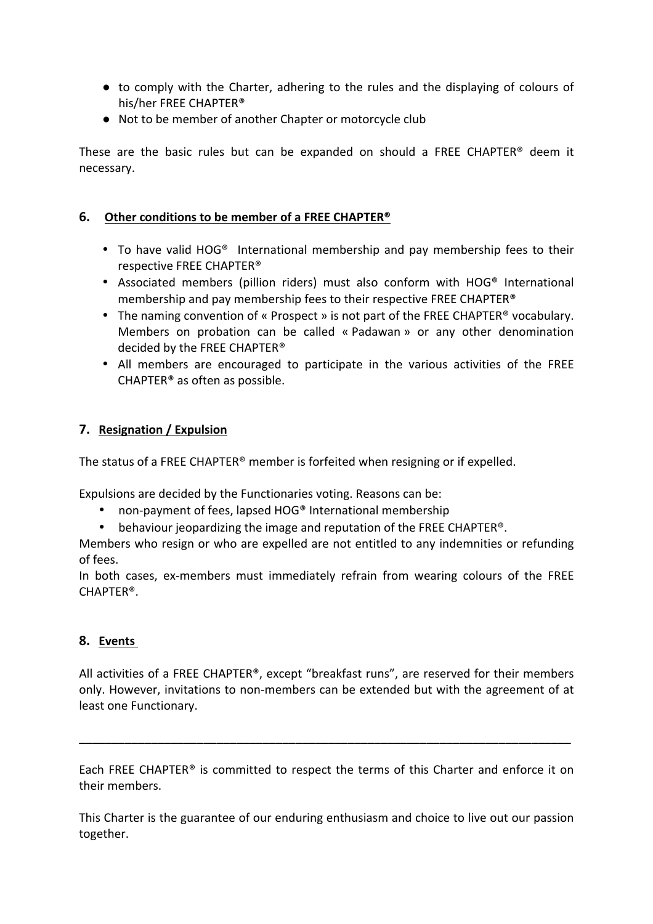- to comply with the Charter, adhering to the rules and the displaying of colours of his/her FREE CHAPTER®
- Not to be member of another Chapter or motorcycle club

These are the basic rules but can be expanded on should a FREE CHAPTER<sup>®</sup> deem it necessary.

# **6.** Other conditions to be member of a FREE CHAPTER<sup>®</sup>

- To have valid HOG® International membership and pay membership fees to their respective FREE CHAPTER<sup>®</sup>
- Associated members (pillion riders) must also conform with HOG® International membership and pay membership fees to their respective FREE CHAPTER<sup>®</sup>
- The naming convention of « Prospect » is not part of the FREE CHAPTER<sup>®</sup> vocabulary. Members on probation can be called « Padawan » or any other denomination decided by the FREE CHAPTER<sup>®</sup>
- All members are encouraged to participate in the various activities of the FREE CHAPTER<sup>®</sup> as often as possible.

# **7.** Resignation / Expulsion

The status of a FREE CHAPTER® member is forfeited when resigning or if expelled.

Expulsions are decided by the Functionaries voting. Reasons can be:

- non-payment of fees, lapsed HOG® International membership
- behaviour jeopardizing the image and reputation of the FREE CHAPTER<sup>®</sup>.

Members who resign or who are expelled are not entitled to any indemnities or refunding of fees.

In both cases, ex-members must immediately refrain from wearing colours of the FREE CHAPTER®.

## **8. Events**

All activities of a FREE CHAPTER®, except "breakfast runs", are reserved for their members only. However, invitations to non-members can be extended but with the agreement of at least one Functionary.

Each FREE CHAPTER<sup>®</sup> is committed to respect the terms of this Charter and enforce it on their members.

**\_\_\_\_\_\_\_\_\_\_\_\_\_\_\_\_\_\_\_\_\_\_\_\_\_\_\_\_\_\_\_\_\_\_\_\_\_\_\_\_\_\_\_\_\_\_\_\_\_\_\_\_\_\_\_\_\_\_\_\_\_\_\_\_\_\_\_\_\_\_\_\_\_\_\_**

This Charter is the guarantee of our enduring enthusiasm and choice to live out our passion together.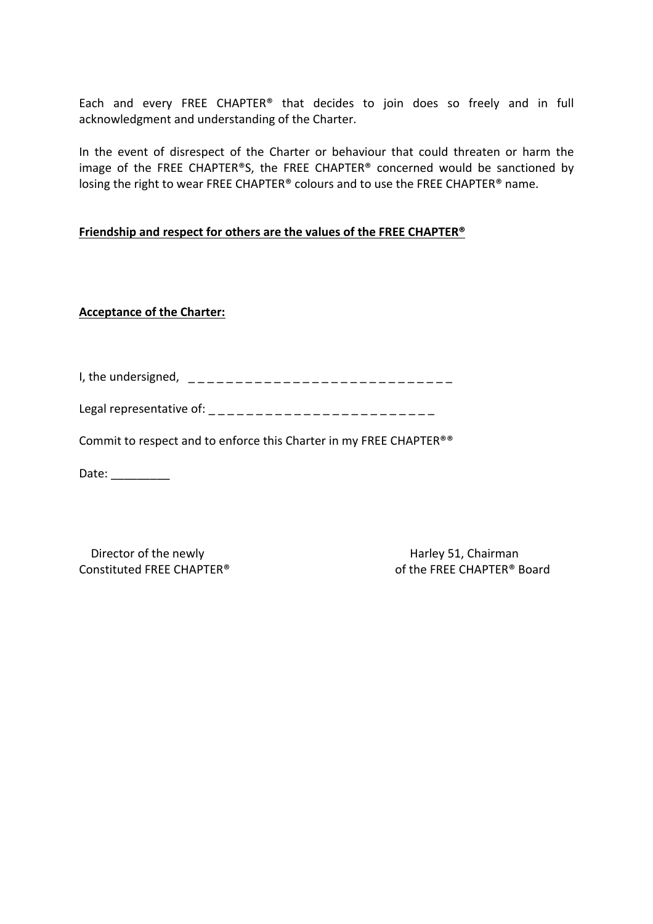Each and every FREE CHAPTER® that decides to join does so freely and in full acknowledgment and understanding of the Charter.

In the event of disrespect of the Charter or behaviour that could threaten or harm the image of the FREE CHAPTER®S, the FREE CHAPTER® concerned would be sanctioned by losing the right to wear FREE CHAPTER® colours and to use the FREE CHAPTER® name.

#### **Friendship and respect for others are the values of the FREE CHAPTER<sup>®</sup>**

### **Acceptance of the Charter:**

| I, the undersigned, |                       |  |
|---------------------|-----------------------|--|
|                     | _____________<br>____ |  |

| Legal representative of: |  |
|--------------------------|--|
|                          |  |

Commit to respect and to enforce this Charter in my FREE CHAPTER®®

Date:

Director of the newly **Example 20** and the newly **Branch Harley 51**, Chairman

Constituted FREE CHAPTER® of the FREE CHAPTER® Board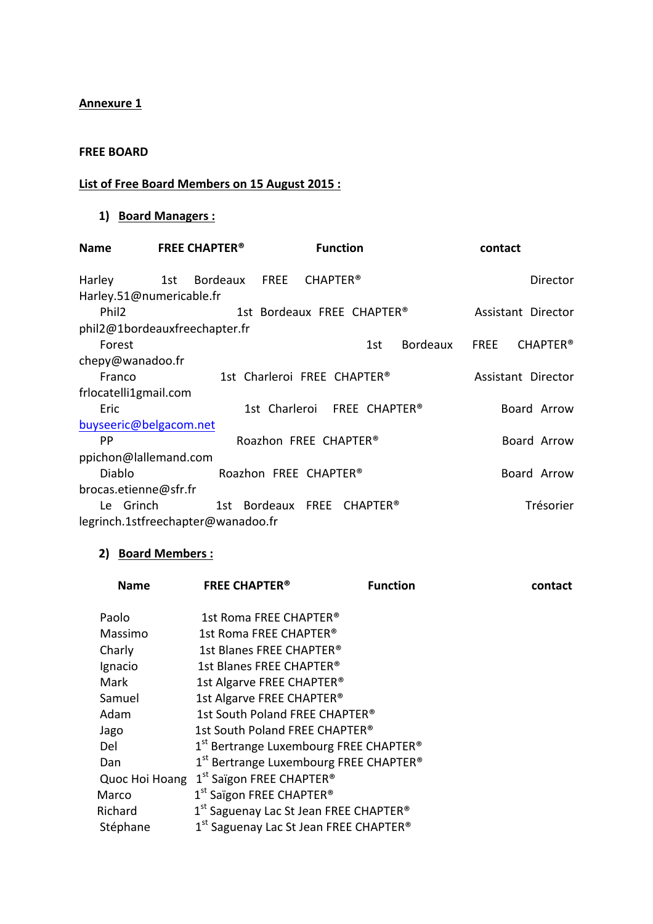## **Annexure 1**

#### **FREE BOARD**

# **List of Free Board Members on 15 August 2015 :**

# **1) Board Managers :**

| <b>Name</b>                        | <b>FREE CHAPTER<sup>®</sup></b><br><b>Function</b> |                 | contact                        |  |
|------------------------------------|----------------------------------------------------|-----------------|--------------------------------|--|
| Harley                             | FREE<br><b>CHAPTER®</b><br>1st Bordeaux            |                 | Director                       |  |
| Harley.51@numericable.fr           |                                                    |                 |                                |  |
| Phil <sub>2</sub>                  | 1st Bordeaux FREE CHAPTER®                         |                 | Assistant Director             |  |
| phil2@1bordeauxfreechapter.fr      |                                                    |                 |                                |  |
| Forest                             |                                                    | Bordeaux<br>1st | <b>FREE</b><br><b>CHAPTER®</b> |  |
| chepy@wanadoo.fr                   |                                                    |                 |                                |  |
| Franco                             | 1st Charleroi FREE CHAPTER®                        |                 | Assistant Director             |  |
| frlocatelli1gmail.com              |                                                    |                 |                                |  |
| Eric                               | 1st Charleroi FREE CHAPTER®                        |                 | Board Arrow                    |  |
| buyseeric@belgacom.net             |                                                    |                 |                                |  |
| PP.                                | Roazhon FREE CHAPTER®                              |                 | Board Arrow                    |  |
| ppichon@lallemand.com              |                                                    |                 |                                |  |
| Diablo                             | Roazhon FREE CHAPTER <sup>®</sup>                  |                 | Board Arrow                    |  |
| brocas.etienne@sfr.fr              |                                                    |                 |                                |  |
| Le Grinch                          | 1st Bordeaux FREE CHAPTER®                         |                 | Trésorier                      |  |
| legrinch.1stfreechapter@wanadoo.fr |                                                    |                 |                                |  |

# **2) Board Members :**

| <b>Name</b>    | <b>FREE CHAPTER<sup>®</sup></b>                                | <b>Function</b> | contact |
|----------------|----------------------------------------------------------------|-----------------|---------|
| Paolo          | 1st Roma FREE CHAPTER <sup>®</sup>                             |                 |         |
| Massimo        | 1st Roma FRFF CHAPTFR®                                         |                 |         |
| Charly         | 1st Blanes FREE CHAPTER®                                       |                 |         |
| Ignacio        | 1st Blanes FREE CHAPTER®                                       |                 |         |
| Mark           | 1st Algarve FREE CHAPTER®                                      |                 |         |
| Samuel         | 1st Algarve FREE CHAPTER®                                      |                 |         |
| Adam           | 1st South Poland FREE CHAPTER®                                 |                 |         |
| Jago           | 1st South Poland FREE CHAPTER <sup>®</sup>                     |                 |         |
| Del            | 1 <sup>st</sup> Bertrange Luxembourg FREE CHAPTER <sup>®</sup> |                 |         |
| Dan            | $1st$ Bertrange Luxembourg FREE CHAPTER <sup>®</sup>           |                 |         |
| Quoc Hoi Hoang | 1 <sup>st</sup> Saïgon FREE CHAPTER <sup>®</sup>               |                 |         |
| Marco          | 1 <sup>st</sup> Saïgon FREE CHAPTER <sup>®</sup>               |                 |         |
| Richard        | 1st Saguenay Lac St Jean FREE CHAPTER <sup>®</sup>             |                 |         |
| Stéphane       | 1 <sup>st</sup> Saguenay Lac St Jean FREE CHAPTER <sup>®</sup> |                 |         |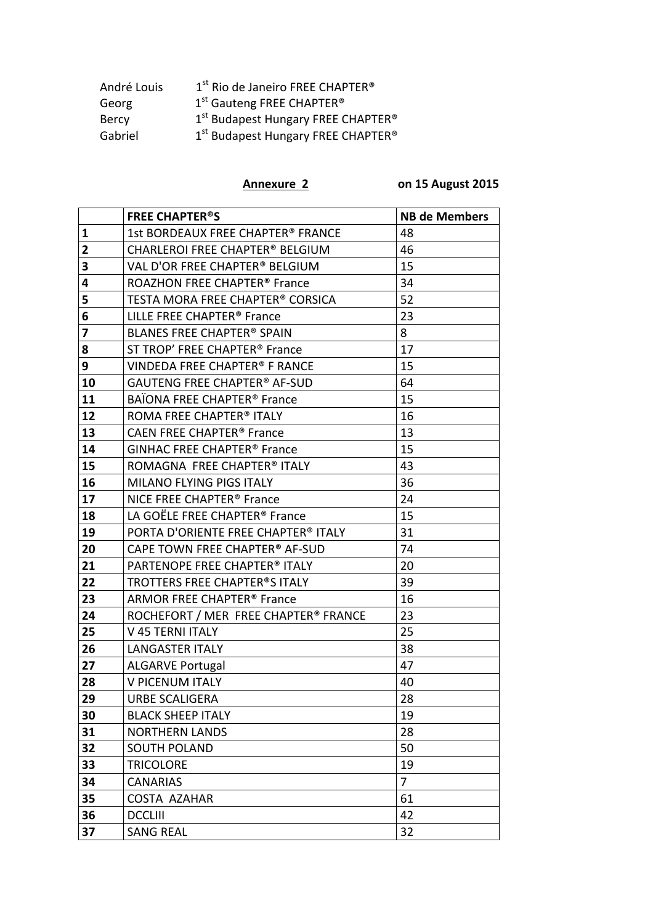| André Louis  | 1 <sup>st</sup> Rio de Janeiro FREE CHAPTER <sup>®</sup>   |
|--------------|------------------------------------------------------------|
| Georg        | 1 <sup>st</sup> Gauteng FREE CHAPTER <sup>®</sup>          |
| <b>Bercy</b> | 1 <sup>st</sup> Budapest Hungary FREE CHAPTER <sup>®</sup> |
| Gabriel      | 1 <sup>st</sup> Budapest Hungary FREE CHAPTER <sup>®</sup> |

**Annexure 2 0n 15 August 2015** 

|    | <b>FREE CHAPTER<sup>®</sup>S</b>              | <b>NB de Members</b> |
|----|-----------------------------------------------|----------------------|
| 1  | 1st BORDEAUX FREE CHAPTER® FRANCE             | 48                   |
| 2  | <b>CHARLEROI FREE CHAPTER® BELGIUM</b>        | 46                   |
| 3  | VAL D'OR FREE CHAPTER® BELGIUM                | 15                   |
| 4  | ROAZHON FREE CHAPTER <sup>®</sup> France      | 34                   |
| 5  | TESTA MORA FREE CHAPTER® CORSICA              | 52                   |
| 6  | LILLE FREE CHAPTER <sup>®</sup> France        | 23                   |
| 7  | BLANES FREE CHAPTER® SPAIN                    | 8                    |
| 8  | ST TROP' FREE CHAPTER <sup>®</sup> France     | 17                   |
| 9  | VINDEDA FREE CHAPTER® F RANCE                 | 15                   |
| 10 | <b>GAUTENG FREE CHAPTER® AF-SUD</b>           | 64                   |
| 11 | BAÏONA FREE CHAPTER <sup>®</sup> France       | 15                   |
| 12 | ROMA FREE CHAPTER® ITALY                      | 16                   |
| 13 | <b>CAEN FREE CHAPTER<sup>®</sup> France</b>   | 13                   |
| 14 | <b>GINHAC FREE CHAPTER<sup>®</sup> France</b> | 15                   |
| 15 | ROMAGNA FREE CHAPTER® ITALY                   | 43                   |
| 16 | MILANO FLYING PIGS ITALY                      | 36                   |
| 17 | NICE FREE CHAPTER <sup>®</sup> France         | 24                   |
| 18 | LA GOËLE FREE CHAPTER <sup>®</sup> France     | 15                   |
| 19 | PORTA D'ORIENTE FREE CHAPTER® ITALY           | 31                   |
| 20 | CAPE TOWN FREE CHAPTER® AF-SUD                | 74                   |
| 21 | PARTENOPE FREE CHAPTER® ITALY                 | 20                   |
| 22 | TROTTERS FREE CHAPTER®S ITALY                 | 39                   |
| 23 | ARMOR FREE CHAPTER <sup>®</sup> France        | 16                   |
| 24 | ROCHEFORT / MER FREE CHAPTER® FRANCE          | 23                   |
| 25 | V 45 TERNI ITALY                              | 25                   |
| 26 | <b>LANGASTER ITALY</b>                        | 38                   |
| 27 | <b>ALGARVE Portugal</b>                       | 47                   |
| 28 | V PICENUM ITALY                               | 40                   |
| 29 | <b>URBE SCALIGERA</b>                         | 28                   |
| 30 | <b>BLACK SHEEP ITALY</b>                      | 19                   |
| 31 | <b>NORTHERN LANDS</b>                         | 28                   |
| 32 | <b>SOUTH POLAND</b>                           | 50                   |
| 33 | <b>TRICOLORE</b>                              | 19                   |
| 34 | <b>CANARIAS</b>                               | $\overline{7}$       |
| 35 | <b>COSTA AZAHAR</b>                           | 61                   |
| 36 | <b>DCCLIII</b>                                | 42                   |
| 37 | <b>SANG REAL</b>                              | 32                   |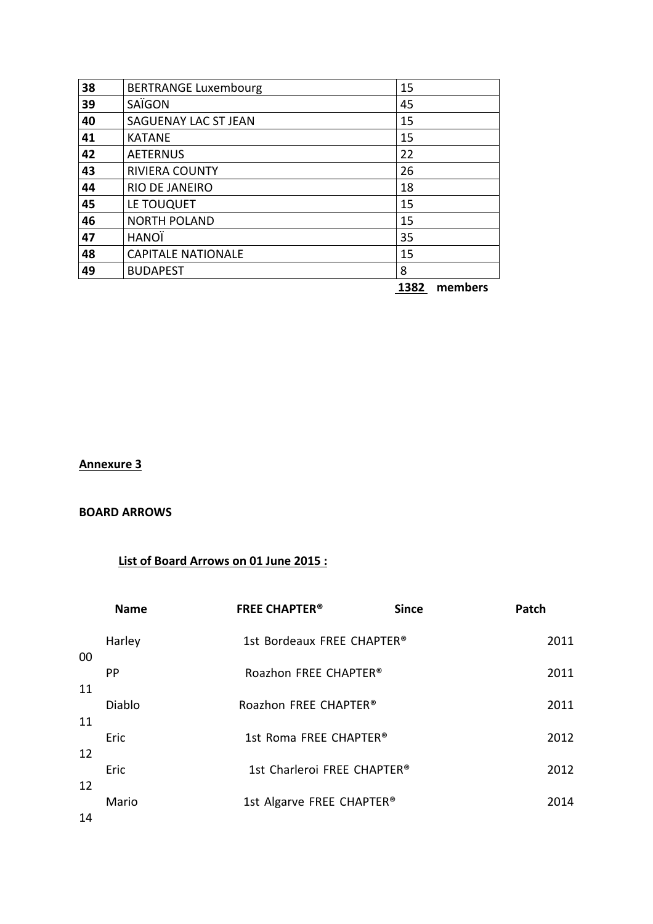| 38 | <b>BERTRANGE Luxembourg</b> | 15 |
|----|-----------------------------|----|
| 39 | SAÏGON                      | 45 |
| 40 | SAGUENAY LAC ST JEAN        | 15 |
| 41 | <b>KATANE</b>               | 15 |
| 42 | <b>AETERNUS</b>             | 22 |
| 43 | RIVIERA COUNTY              | 26 |
| 44 | RIO DE JANEIRO              | 18 |
| 45 | LE TOUQUET                  | 15 |
| 46 | <b>NORTH POLAND</b>         | 15 |
| 47 | HANOÏ                       | 35 |
| 48 | <b>CAPITALE NATIONALE</b>   | 15 |
| 49 | <b>BUDAPEST</b>             | 8  |

members

# **Annexure 3**

#### **BOARD ARROWS**

# **List of Board Arrows on 01 June 2015 :**

|    | <b>Name</b> | <b>FREE CHAPTER<sup>®</sup></b>    | <b>Since</b> | Patch |
|----|-------------|------------------------------------|--------------|-------|
| 00 | Harley      | 1st Bordeaux FREE CHAPTER®         |              | 2011  |
| 11 | PP.         | Roazhon FREE CHAPTER®              |              | 2011  |
| 11 | Diablo      | Roazhon FREE CHAPTER <sup>®</sup>  |              | 2011  |
| 12 | Eric        | 1st Roma FREE CHAPTER <sup>®</sup> |              | 2012  |
| 12 | Eric        | 1st Charleroi FREE CHAPTER®        |              | 2012  |
| 14 | Mario       | 1st Algarve FREE CHAPTER®          |              | 2014  |